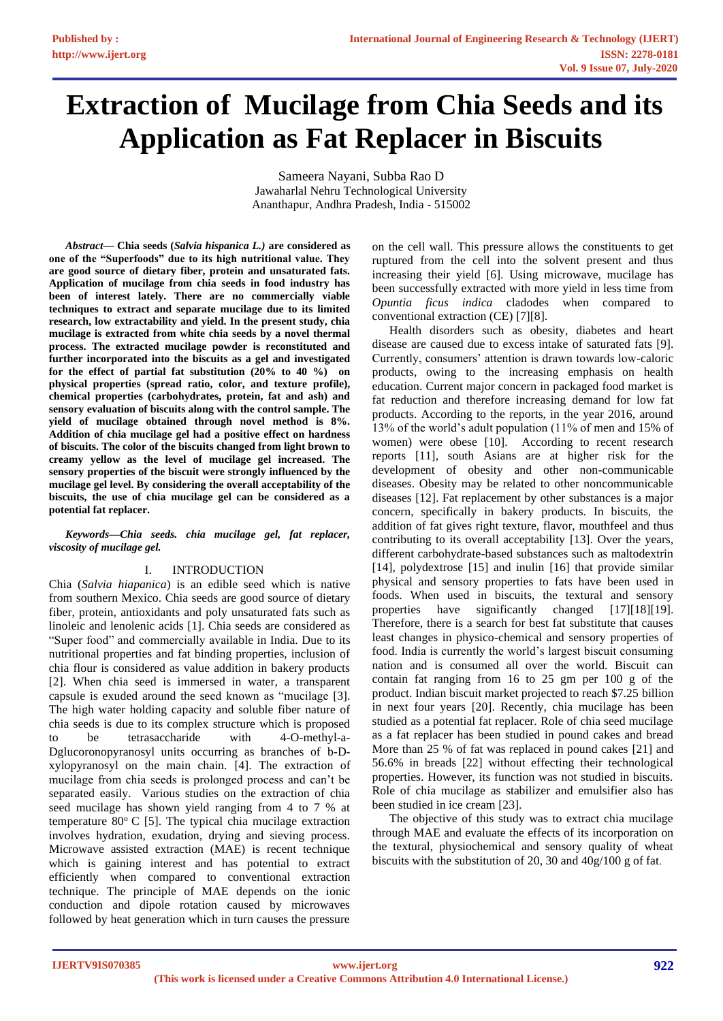# **Extraction of Mucilage from Chia Seeds and its Application as Fat Replacer in Biscuits**

Sameera Nayani, Subba Rao D Jawaharlal Nehru Technological University Ananthapur, Andhra Pradesh, India - 515002

*Abstract***— Chia seeds (***Salvia hispanica L.)* **are considered as one of the "Superfoods" due to its high nutritional value. They are good source of dietary fiber, protein and unsaturated fats. Application of mucilage from chia seeds in food industry has been of interest lately. There are no commercially viable techniques to extract and separate mucilage due to its limited research, low extractability and yield. In the present study, chia mucilage is extracted from white chia seeds by a novel thermal process. The extracted mucilage powder is reconstituted and further incorporated into the biscuits as a gel and investigated for the effect of partial fat substitution (20% to 40 %) on physical properties (spread ratio, color, and texture profile), chemical properties (carbohydrates, protein, fat and ash) and sensory evaluation of biscuits along with the control sample. The yield of mucilage obtained through novel method is 8%. Addition of chia mucilage gel had a positive effect on hardness of biscuits. The color of the biscuits changed from light brown to creamy yellow as the level of mucilage gel increased. The sensory properties of the biscuit were strongly influenced by the mucilage gel level. By considering the overall acceptability of the biscuits, the use of chia mucilage gel can be considered as a potential fat replacer.**

## *Keywords—Chia seeds. chia mucilage gel, fat replacer, viscosity of mucilage gel.*

# I. INTRODUCTION

Chia (*Salvia hiapanica*) is an edible seed which is native from southern Mexico. Chia seeds are good source of dietary fiber, protein, antioxidants and poly unsaturated fats such as linoleic and lenolenic acids [1]. Chia seeds are considered as "Super food" and commercially available in India. Due to its nutritional properties and fat binding properties, inclusion of chia flour is considered as value addition in bakery products [2]. When chia seed is immersed in water, a transparent capsule is exuded around the seed known as "mucilage [3]. The high water holding capacity and soluble fiber nature of chia seeds is due to its complex structure which is proposed to be tetrasaccharide with 4-O-methyl-a-Dglucoronopyranosyl units occurring as branches of b-Dxylopyranosyl on the main chain. [4]. The extraction of mucilage from chia seeds is prolonged process and can't be separated easily. Various studies on the extraction of chia seed mucilage has shown yield ranging from 4 to 7 % at temperature  $80^{\circ}$  C [5]. The typical chia mucilage extraction involves hydration, exudation, drying and sieving process. Microwave assisted extraction (MAE) is recent technique which is gaining interest and has potential to extract efficiently when compared to conventional extraction technique. The principle of MAE depends on the ionic conduction and dipole rotation caused by microwaves followed by heat generation which in turn causes the pressure

on the cell wall. This pressure allows the constituents to get ruptured from the cell into the solvent present and thus increasing their yield [6]. Using microwave, mucilage has been successfully extracted with more yield in less time from *Opuntia ficus indica* cladodes when compared to conventional extraction (CE) [7][8].

Health disorders such as obesity, diabetes and heart disease are caused due to excess intake of saturated fats [9]. Currently, consumers' attention is drawn towards low-caloric products, owing to the increasing emphasis on health education. Current major concern in packaged food market is fat reduction and therefore increasing demand for low fat products. According to the reports, in the year 2016, around 13% of the world's adult population (11% of men and 15% of women) were obese [10]. According to recent research reports [11], south Asians are at higher risk for the development of obesity and other non-communicable diseases. Obesity may be related to other noncommunicable diseases [12]. Fat replacement by other substances is a major concern, specifically in bakery products. In biscuits, the addition of fat gives right texture, flavor, mouthfeel and thus contributing to its overall acceptability [13]. Over the years, different carbohydrate-based substances such as maltodextrin [14], polydextrose [15] and inulin [16] that provide similar physical and sensory properties to fats have been used in foods. When used in biscuits, the textural and sensory properties have significantly changed [17][18][19]. Therefore, there is a search for best fat substitute that causes least changes in physico-chemical and sensory properties of food. India is currently the world's largest biscuit consuming nation and is consumed all over the world. Biscuit can contain fat ranging from 16 to 25 gm per 100 g of the product. Indian biscuit market projected to reach \$7.25 billion in next four years [20]. Recently, chia mucilage has been studied as a potential fat replacer. Role of chia seed mucilage as a fat replacer has been studied in pound cakes and bread More than 25 % of fat was replaced in pound cakes [21] and 56.6% in breads [22] without effecting their technological properties. However, its function was not studied in biscuits. Role of chia mucilage as stabilizer and emulsifier also has been studied in ice cream [23].

The objective of this study was to extract chia mucilage through MAE and evaluate the effects of its incorporation on the textural, physiochemical and sensory quality of wheat biscuits with the substitution of 20, 30 and 40g/100 g of fat.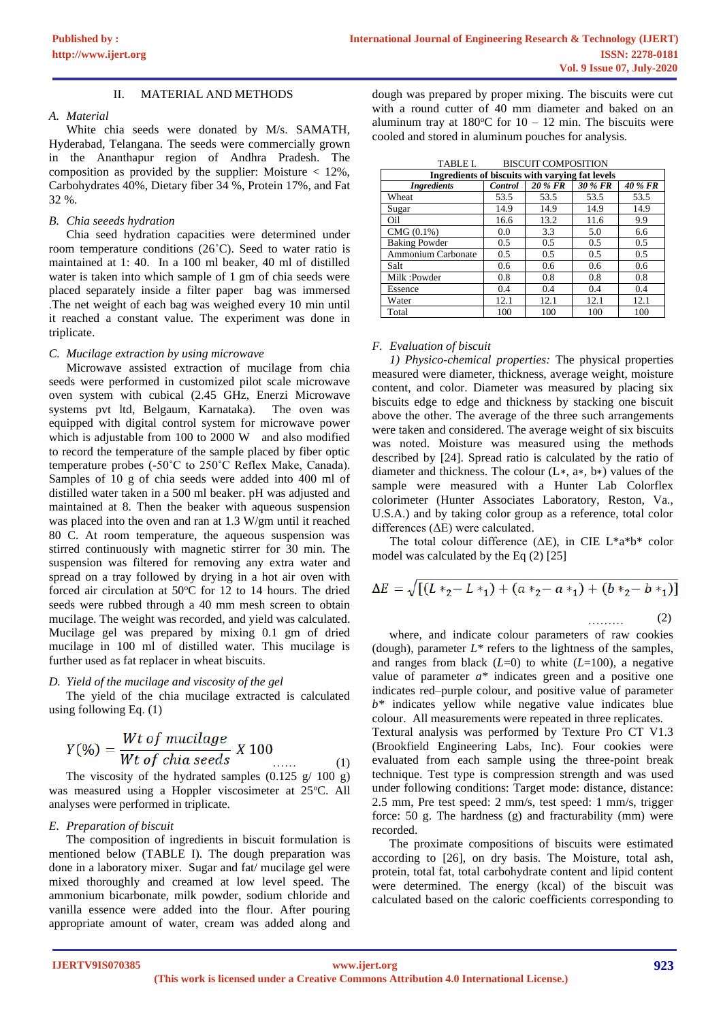## II. MATERIAL AND METHODS

## *A. Material*

White chia seeds were donated by M/s. SAMATH, Hyderabad, Telangana. The seeds were commercially grown in the Ananthapur region of Andhra Pradesh. The composition as provided by the supplier: Moisture < 12%, Carbohydrates 40%, Dietary fiber 34 %, Protein 17%, and Fat 32 %.

## *B. Chia seeeds hydration*

Chia seed hydration capacities were determined under room temperature conditions (26˚C). Seed to water ratio is maintained at 1: 40. In a 100 ml beaker, 40 ml of distilled water is taken into which sample of 1 gm of chia seeds were placed separately inside a filter paper bag was immersed .The net weight of each bag was weighed every 10 min until it reached a constant value. The experiment was done in triplicate.

## *C. Mucilage extraction by using microwave*

Microwave assisted extraction of mucilage from chia seeds were performed in customized pilot scale microwave oven system with cubical (2.45 GHz, Enerzi Microwave systems pvt ltd, Belgaum, Karnataka). The oven was equipped with digital control system for microwave power which is adjustable from 100 to 2000 W and also modified to record the temperature of the sample placed by fiber optic temperature probes (-50˚C to 250˚C Reflex Make, Canada). Samples of 10 g of chia seeds were added into 400 ml of distilled water taken in a 500 ml beaker. pH was adjusted and maintained at 8. Then the beaker with aqueous suspension was placed into the oven and ran at 1.3 W/gm until it reached 80 C. At room temperature, the aqueous suspension was stirred continuously with magnetic stirrer for 30 min. The suspension was filtered for removing any extra water and spread on a tray followed by drying in a hot air oven with forced air circulation at  $50^{\circ}$ C for 12 to 14 hours. The dried seeds were rubbed through a 40 mm mesh screen to obtain mucilage. The weight was recorded, and yield was calculated. Mucilage gel was prepared by mixing 0.1 gm of dried mucilage in 100 ml of distilled water. This mucilage is further used as fat replacer in wheat biscuits.

## *D. Yield of the mucilage and viscosity of the gel*

The yield of the chia mucilage extracted is calculated using following Eq. (1)

$$
Y(\%) = \frac{Wt \ of \ mucilage}{Wt \ of \ chiaseds} \ X \ 100 \ \ \ldots
$$

*Wt of child seeds* ...... (1)<br>The viscosity of the hydrated samples  $(0.125 \text{ g}/100 \text{ g})$ (1) was measured using a Hoppler viscosimeter at 25°C. All analyses were performed in triplicate.

## *E. Preparation of biscuit*

The composition of ingredients in biscuit formulation is mentioned below (TABLE I). The dough preparation was done in a laboratory mixer. Sugar and fat/ mucilage gel were mixed thoroughly and creamed at low level speed. The ammonium bicarbonate, milk powder, sodium chloride and vanilla essence were added into the flour. After pouring appropriate amount of water, cream was added along and

dough was prepared by proper mixing. The biscuits were cut with a round cutter of 40 mm diameter and baked on an aluminum tray at  $180^{\circ}$ C for  $10 - 12$  min. The biscuits were cooled and stored in aluminum pouches for analysis.

| <b>BISCUIT COMPOSITION</b><br>TABLE I.          |               |         |         |                |  |
|-------------------------------------------------|---------------|---------|---------|----------------|--|
| Ingredients of biscuits with varying fat levels |               |         |         |                |  |
| <b>Ingredients</b>                              | Control       | 20 % FR | 30 % FR | <b>40 % FR</b> |  |
| Wheat                                           | 53.5          | 53.5    | 53.5    | 53.5           |  |
| Sugar                                           | 14.9          | 14.9    | 14.9    | 14.9           |  |
| Oil                                             | 16.6          | 13.2    | 11.6    | 9.9            |  |
| CMG (0.1%)                                      | 0.0           | 3.3     | 5.0     | 6.6            |  |
| <b>Baking Powder</b>                            | $0.5^{\circ}$ | 0.5     | 0.5     | 0.5            |  |
| Ammonium Carbonate                              | 0.5           | 0.5     | 0.5     | 0.5            |  |
| Salt                                            | 0.6           | 0.6     | 0.6     | 0.6            |  |
| Milk:Powder                                     | 0.8           | 0.8     | 0.8     | 0.8            |  |
| Essence                                         | 0.4           | 0.4     | 0.4     | 0.4            |  |
| Water                                           | 12.1          | 12.1    | 12.1    | 12.1           |  |
| Total                                           | 100           | 100     | 100     | 100            |  |

## *F. Evaluation of biscuit*

*1) Physico-chemical properties:* The physical properties measured were diameter, thickness, average weight, moisture content, and color. Diameter was measured by placing six biscuits edge to edge and thickness by stacking one biscuit above the other. The average of the three such arrangements were taken and considered. The average weight of six biscuits was noted. Moisture was measured using the methods described by [24]. Spread ratio is calculated by the ratio of diameter and thickness. The colour (L∗, a∗, b∗) values of the sample were measured with a Hunter Lab Colorflex colorimeter (Hunter Associates Laboratory, Reston, Va., U.S.A.) and by taking color group as a reference, total color differences (ΔE) were calculated.

The total colour difference ( $\Delta E$ ), in CIE L\*a\*b\* color model was calculated by the Eq (2) [25]

$$
\Delta E = \sqrt{[(L *_{2} - L *_{1}) + (a *_{2} - a *_{1}) + (b *_{2} - b *_{1})]}
$$

(2)

 ……… where, and indicate colour parameters of raw cookies (dough), parameter  $L^*$  refers to the lightness of the samples, and ranges from black (*L*=0) to white (*L*=100), a negative value of parameter *a\** indicates green and a positive one indicates red–purple colour, and positive value of parameter *b\** indicates yellow while negative value indicates blue colour. All measurements were repeated in three replicates. Textural analysis was performed by Texture Pro CT V1.3 (Brookfield Engineering Labs, Inc). Four cookies were evaluated from each sample using the three-point break technique. Test type is compression strength and was used under following conditions: Target mode: distance, distance: 2.5 mm, Pre test speed: 2 mm/s, test speed: 1 mm/s, trigger force: 50 g. The hardness (g) and fracturability (mm) were recorded.

The proximate compositions of biscuits were estimated according to [26], on dry basis. The Moisture, total ash, protein, total fat, total carbohydrate content and lipid content were determined. The energy (kcal) of the biscuit was calculated based on the caloric coefficients corresponding to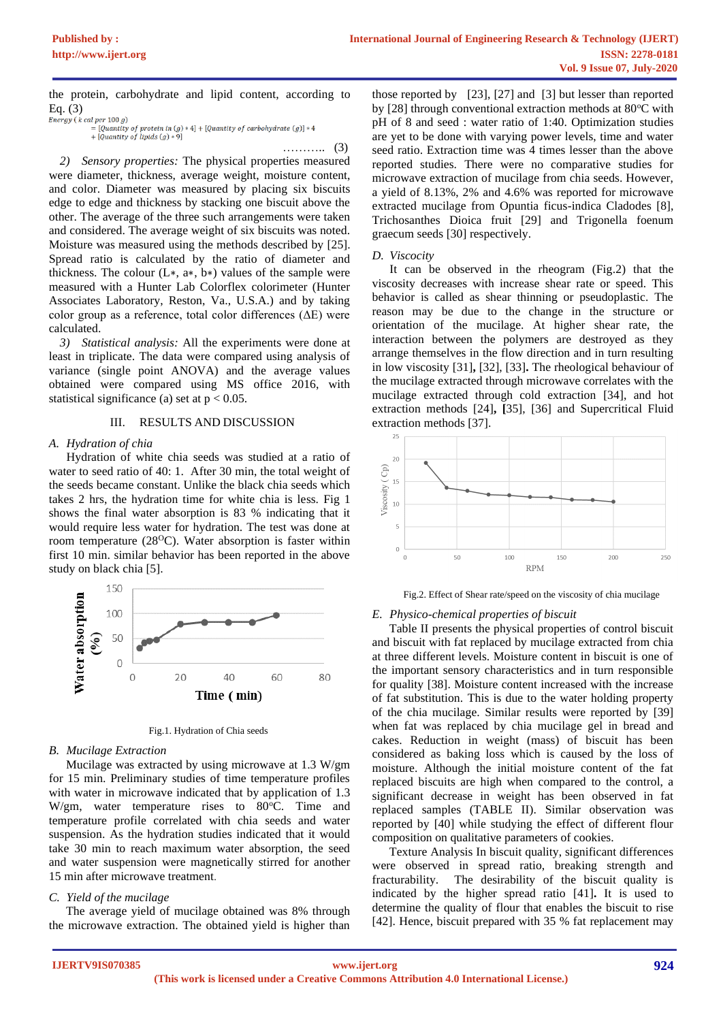the protein, carbohydrate and lipid content, according to Eq.  $(3)$ <br>Energy (k cal per 100 g)

……….. (3)

*2) Sensory properties:* The physical properties measured were diameter, thickness, average weight, moisture content, and color. Diameter was measured by placing six biscuits edge to edge and thickness by stacking one biscuit above the other. The average of the three such arrangements were taken and considered. The average weight of six biscuits was noted. Moisture was measured using the methods described by [25]. Spread ratio is calculated by the ratio of diameter and thickness. The colour  $(L*, a*, b*)$  values of the sample were measured with a Hunter Lab Colorflex colorimeter (Hunter Associates Laboratory, Reston, Va., U.S.A.) and by taking color group as a reference, total color differences  $(\Delta E)$  were calculated.

*3) Statistical analysis:* All the experiments were done at least in triplicate. The data were compared using analysis of variance (single point ANOVA) and the average values obtained were compared using MS office 2016, with statistical significance (a) set at  $p < 0.05$ .

## III. RESULTS AND DISCUSSION

## *A. Hydration of chia*

Hydration of white chia seeds was studied at a ratio of water to seed ratio of 40: 1. After 30 min, the total weight of the seeds became constant. Unlike the black chia seeds which takes 2 hrs, the hydration time for white chia is less. Fig 1 shows the final water absorption is 83 % indicating that it would require less water for hydration. The test was done at room temperature  $(28^{\circ}\text{C})$ . Water absorption is faster within first 10 min. similar behavior has been reported in the above study on black chia [5].





## *B. Mucilage Extraction*

Mucilage was extracted by using microwave at 1.3 W/gm for 15 min. Preliminary studies of time temperature profiles with water in microwave indicated that by application of 1.3 W/gm, water temperature rises to  $80^{\circ}$ C. Time and temperature profile correlated with chia seeds and water suspension. As the hydration studies indicated that it would take 30 min to reach maximum water absorption, the seed and water suspension were magnetically stirred for another 15 min after microwave treatment.

## *C. Yield of the mucilage*

The average yield of mucilage obtained was 8% through the microwave extraction. The obtained yield is higher than

those reported by [23], [27] and [3] but lesser than reported by  $[28]$  through conventional extraction methods at  $80^{\circ}$ C with pH of 8 and seed : water ratio of 1:40. Optimization studies are yet to be done with varying power levels, time and water seed ratio. Extraction time was 4 times lesser than the above reported studies. There were no comparative studies for microwave extraction of mucilage from chia seeds. However, a yield of 8.13%, 2% and 4.6% was reported for microwave extracted mucilage from Opuntia ficus-indica Cladodes [8], Trichosanthes Dioica fruit [29] and Trigonella foenum graecum seeds [30] respectively.

#### *D. Viscocity*

It can be observed in the rheogram (Fig.2) that the viscosity decreases with increase shear rate or speed. This behavior is called as shear thinning or pseudoplastic. The reason may be due to the change in the structure or orientation of the mucilage. At higher shear rate, the interaction between the polymers are destroyed as they arrange themselves in the flow direction and in turn resulting in low viscosity [31]**,** [32], [33]**.** The rheological behaviour of the mucilage extracted through microwave correlates with the mucilage extracted through cold extraction [34], and hot extraction methods [24]**, [**35], [36] and Supercritical Fluid extraction methods [37].



Fig.2. Effect of Shear rate/speed on the viscosity of chia mucilage

## *E. Physico-chemical properties of biscuit*

Table II presents the physical properties of control biscuit and biscuit with fat replaced by mucilage extracted from chia at three different levels. Moisture content in biscuit is one of the important sensory characteristics and in turn responsible for quality [38]. Moisture content increased with the increase of fat substitution. This is due to the water holding property of the chia mucilage. Similar results were reported by [39] when fat was replaced by chia mucilage gel in bread and cakes. Reduction in weight (mass) of biscuit has been considered as baking loss which is caused by the loss of moisture. Although the initial moisture content of the fat replaced biscuits are high when compared to the control, a significant decrease in weight has been observed in fat replaced samples (TABLE II). Similar observation was reported by [40] while studying the effect of different flour composition on qualitative parameters of cookies.

Texture Analysis In biscuit quality, significant differences were observed in spread ratio, breaking strength and fracturability. The desirability of the biscuit quality is indicated by the higher spread ratio [41]**.** It is used to determine the quality of flour that enables the biscuit to rise [42]. Hence, biscuit prepared with 35 % fat replacement may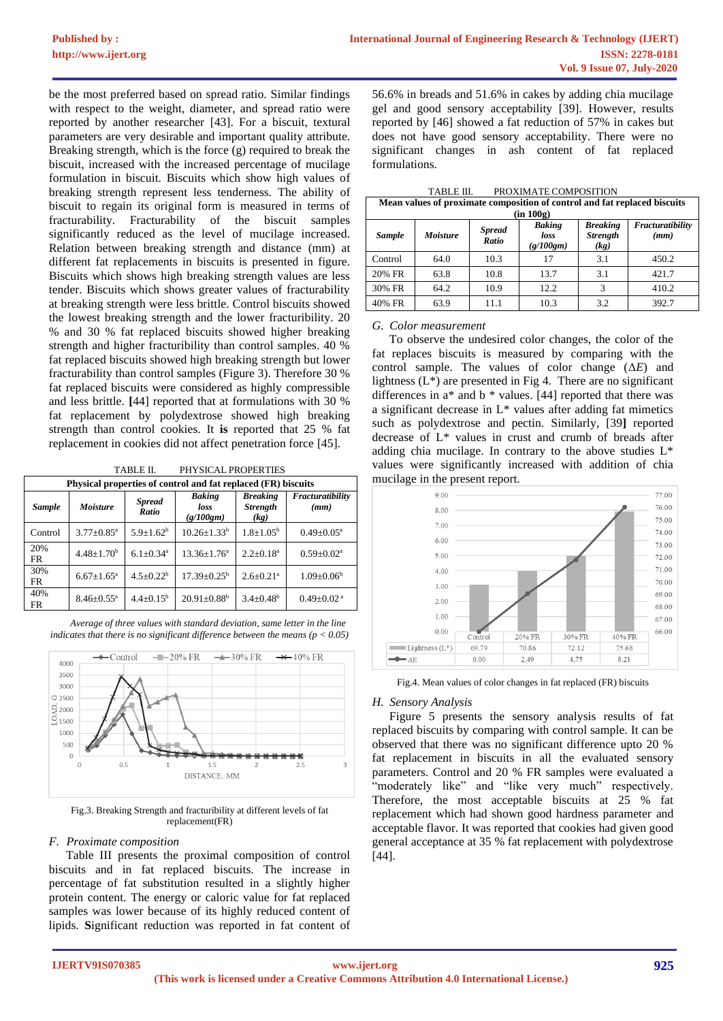be the most preferred based on spread ratio. Similar findings with respect to the weight, diameter, and spread ratio were reported by another researcher [43]. For a biscuit, textural parameters are very desirable and important quality attribute. Breaking strength, which is the force (g) required to break the biscuit, increased with the increased percentage of mucilage formulation in biscuit. Biscuits which show high values of breaking strength represent less tenderness. The ability of biscuit to regain its original form is measured in terms of fracturability. Fracturability of the biscuit samples significantly reduced as the level of mucilage increased. Relation between breaking strength and distance (mm) at different fat replacements in biscuits is presented in figure. Biscuits which shows high breaking strength values are less tender. Biscuits which shows greater values of fracturability at breaking strength were less brittle. Control biscuits showed the lowest breaking strength and the lower fracturibility. 20 % and 30 % fat replaced biscuits showed higher breaking strength and higher fracturibility than control samples. 40 % fat replaced biscuits showed high breaking strength but lower fracturability than control samples (Figure 3). Therefore 30 % fat replaced biscuits were considered as highly compressible and less brittle. **[**44] reported that at formulations with 30 % fat replacement by polydextrose showed high breaking strength than control cookies. It **is** reported that 25 % fat replacement in cookies did not affect penetration force [45].

TABLE II. PHYSICAL PROPERTIES

| Physical properties of control and fat replaced (FR) biscuits |                              |                           |                                    |                                            |                              |
|---------------------------------------------------------------|------------------------------|---------------------------|------------------------------------|--------------------------------------------|------------------------------|
| <b>Sample</b>                                                 | <b>Moisture</b>              | <b>Spread</b><br>Ratio    | <b>Baking</b><br>loss<br>(g/100gm) | <b>Breaking</b><br><b>Strength</b><br>(kg) | Fracturatibility<br>(mm)     |
| Control                                                       | $3.77 \pm 0.85$ <sup>a</sup> | $5.9 \pm 1.62^b$          | $10.26 \pm 1.33^b$                 | $1.8 \pm 1.05^{\rm b}$                     | $0.49 \pm 0.05^{\text{a}}$   |
| 20%<br><b>FR</b>                                              | $4.48 \pm 1.70^b$            | $6.1 + 0.34$ <sup>a</sup> | $13.36 + 1.76^a$                   | $2.2+0.18^a$                               | $0.59 \pm 0.02^a$            |
| 30%<br><b>FR</b>                                              | $6.67 \pm 1.65^{\text{a}}$   | $4.5 + 0.22^b$            | $17.39 \pm 0.25^{\rm b}$           | $2.6 \pm 0.21$ <sup>a</sup>                | $1.09 \pm 0.06^b$            |
| 40%<br><b>FR</b>                                              | $8.46 \pm 0.55$ <sup>a</sup> | $4.4+0.15^b$              | $20.91 \pm 0.88$ <sup>b</sup>      | $3.4 \pm 0.48$ <sup>b</sup>                | $0.49 \pm 0.02$ <sup>a</sup> |

*Average of three values with standard deviation, same letter in the line indicates that there is no significant difference between the means (p < 0.05)*



Fig.3. Breaking Strength and fracturibility at different levels of fat replacement(FR)

## *F. Proximate composition*

Table III presents the proximal composition of control biscuits and in fat replaced biscuits. The increase in percentage of fat substitution resulted in a slightly higher protein content. The energy or caloric value for fat replaced samples was lower because of its highly reduced content of lipids. **S**ignificant reduction was reported in fat content of

56.6% in breads and 51.6% in cakes by adding chia mucilage gel and good sensory acceptability [39]. However, results reported by [46] showed a fat reduction of 57% in cakes but does not have good sensory acceptability. There were no significant changes in ash content of fat replaced formulations.

| TABLE III. | PROXIMATE COMPOSITION |
|------------|-----------------------|
|            |                       |

| Mean values of proximate composition of control and fat replaced biscuits<br>(in 100g) |                 |                        |                                    |                                            |                          |  |
|----------------------------------------------------------------------------------------|-----------------|------------------------|------------------------------------|--------------------------------------------|--------------------------|--|
| <b>Sample</b>                                                                          | <b>Moisture</b> | <b>Spread</b><br>Ratio | <b>Baking</b><br>loss<br>(g/100gm) | <b>Breaking</b><br><b>Strength</b><br>(kg) | Fracturatibility<br>(mm) |  |
| Control                                                                                | 64.0            | 10.3                   | 17                                 | 3.1                                        | 450.2                    |  |
| 20% FR                                                                                 | 63.8            | 10.8                   | 13.7                               | 3.1                                        | 421.7                    |  |
| 30% FR                                                                                 | 64.2            | 10.9                   | 12.2                               | 3                                          | 410.2                    |  |
| 40% FR                                                                                 | 63.9            | 11.1                   | 10.3                               | 3.2                                        | 392.7                    |  |

#### *G. Color measurement*

To observe the undesired color changes, the color of the fat replaces biscuits is measured by comparing with the control sample. The values of color change (Δ*E*) and lightness  $(L^*)$  are presented in Fig 4. There are no significant differences in a\* and b \* values. [44] reported that there was a significant decrease in L\* values after adding fat mimetics such as polydextrose and pectin. Similarly, [39**]** reported decrease of L\* values in crust and crumb of breads after adding chia mucilage. In contrary to the above studies L\* values were significantly increased with addition of chia mucilage in the present report.



Fig.4. Mean values of color changes in fat replaced (FR) biscuits

## *H. Sensory Analysis*

Figure 5 presents the sensory analysis results of fat replaced biscuits by comparing with control sample. It can be observed that there was no significant difference upto 20 % fat replacement in biscuits in all the evaluated sensory parameters. Control and 20 % FR samples were evaluated a "moderately like" and "like very much" respectively. Therefore, the most acceptable biscuits at 25 % fat replacement which had shown good hardness parameter and acceptable flavor. It was reported that cookies had given good general acceptance at 35 % fat replacement with polydextrose [44].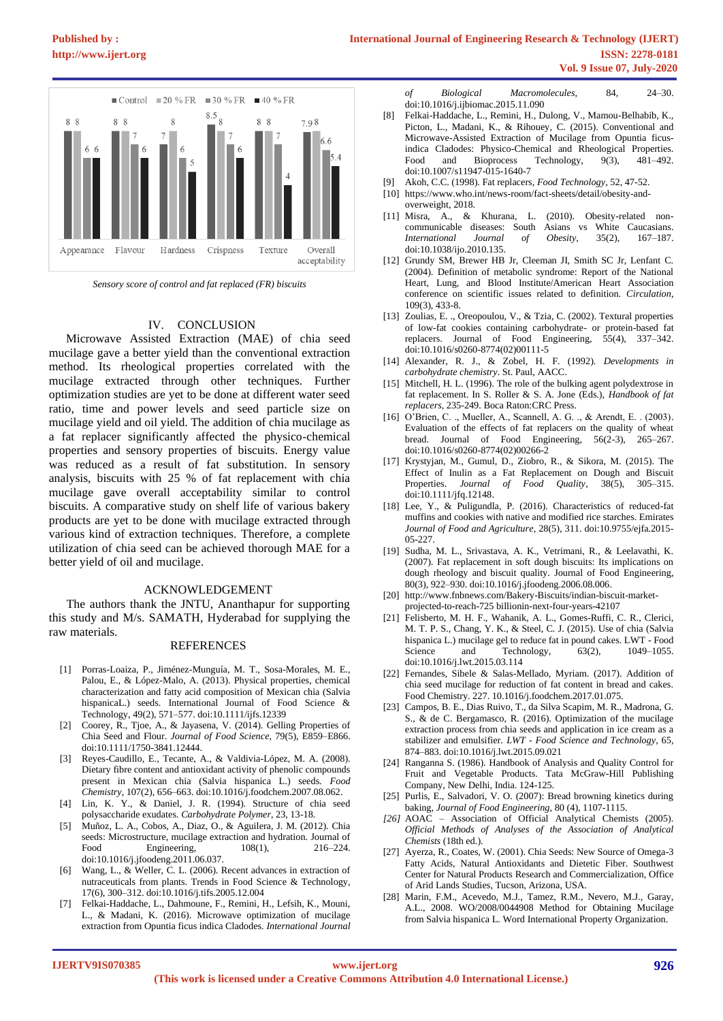

*Sensory score of control and fat replaced (FR) biscuits*

# IV. CONCLUSION

Microwave Assisted Extraction (MAE) of chia seed mucilage gave a better yield than the conventional extraction method. Its rheological properties correlated with the mucilage extracted through other techniques. Further optimization studies are yet to be done at different water seed ratio, time and power levels and seed particle size on mucilage yield and oil yield. The addition of chia mucilage as a fat replacer significantly affected the physico-chemical properties and sensory properties of biscuits. Energy value was reduced as a result of fat substitution. In sensory analysis, biscuits with 25 % of fat replacement with chia mucilage gave overall acceptability similar to control biscuits. A comparative study on shelf life of various bakery products are yet to be done with mucilage extracted through various kind of extraction techniques. Therefore, a complete utilization of chia seed can be achieved thorough MAE for a better yield of oil and mucilage.

## ACKNOWLEDGEMENT

The authors thank the JNTU, Ananthapur for supporting this study and M/s. SAMATH, Hyderabad for supplying the raw materials.

#### REFERENCES

- [1] Porras-Loaiza, P., Jiménez-Munguía, M. T., Sosa-Morales, M. E., Palou, E., & López-Malo, A. (2013). Physical properties, chemical characterization and fatty acid composition of Mexican chia (Salvia hispanicaL.) seeds. International Journal of Food Science & Technology, 49(2), 571–577. doi:10.1111/ijfs.12339
- [2] Coorey, R., Tjoe, A., & Jayasena, V. (2014). Gelling Properties of Chia Seed and Flour. *Journal of Food Science*, 79(5), E859–E866. doi:10.1111/1750-3841.12444.
- [3] Reyes-Caudillo, E., Tecante, A., & Valdivia-López, M. A. (2008). Dietary fibre content and antioxidant activity of phenolic compounds present in Mexican chia (Salvia hispanica L.) seeds. *Food Chemistry*, 107(2), 656–663. doi:10.1016/j.foodchem.2007.08.062.
- [4] Lin, K. Y., & Daniel, J. R. (1994). Structure of chia seed polysaccharide exudates. *Carbohydrate Polymer*, 23, 13-18.
- [5] Muñoz, L. A., Cobos, A., Diaz, O., & Aguilera, J. M. (2012). Chia seeds: Microstructure, mucilage extraction and hydration. Journal of Food Engineering,  $108(1)$ ,  $216-224$ . Engineering, doi:10.1016/j.jfoodeng.2011.06.037.
- Wang, L., & Weller, C. L. (2006). Recent advances in extraction of nutraceuticals from plants. Trends in Food Science & Technology, 17(6), 300–312. doi:10.1016/j.tifs.2005.12.004
- [7] Felkai-Haddache, L., Dahmoune, F., Remini, H., Lefsih, K., Mouni, L., & Madani, K. (2016). Microwave optimization of mucilage extraction from Opuntia ficus indica Cladodes*. International Journal*

*of Biological Macromolecules*, 84, 24–30. doi:10.1016/j.ijbiomac.2015.11.090

- [8] Felkai-Haddache, L., Remini, H., Dulong, V., Mamou-Belhabib, K., Picton, L., Madani, K., & Rihouey, C. (2015). Conventional and Microwave-Assisted Extraction of Mucilage from Opuntia ficusindica Cladodes: Physico-Chemical and Rheological Properties. Food and Bioprocess Technology, 9(3), 481-492. doi:10.1007/s11947-015-1640-7
- [9] Akoh, C.C. (1998). Fat replacers, *Food Technology*, 52, 47-52.
- [10] https://www.who.int/news-room/fact-sheets/detail/obesity-andoverweight, 2018.
- [11] Misra, A., & Khurana, L. (2010). Obesity-related noncommunicable diseases: South Asians vs White Caucasians.<br> *International Journal of Obesity*, 35(2), 167–187. *International Journal of Obesity,* 35(2), doi:10.1038/ijo.2010.135.
- [12] Grundy SM, Brewer HB Jr, Cleeman JI, Smith SC Jr, Lenfant C. (2004). Definition of metabolic syndrome: Report of the National Heart, Lung, and Blood Institute/American Heart Association conference on scientific issues related to definition. *Circulation,*  109(3), 433-8.
- [13] Zoulias, E. ., Oreopoulou, V., & Tzia, C. (2002). Textural properties of low-fat cookies containing carbohydrate- or protein-based fat replacers. Journal of Food Engineering, 55(4), 337–342. doi:10.1016/s0260-8774(02)00111-5
- [14] Alexander, R. J., & Zobel, H. F. (1992). *Developments in carbohydrate chemistry*. St. Paul, AACC.
- [15] Mitchell, H. L. (1996). The role of the bulking agent polydextrose in fat replacement. In S. Roller & S. A. Jone (Eds.), *Handbook of fat replacers,* 235-249. Boca Raton:CRC Press.
- [16] O'Brien, C. ., Mueller, A., Scannell, A. G. ., & Arendt, E. . (2003). Evaluation of the effects of fat replacers on the quality of wheat bread. Journal of Food Engineering, 56(2-3), 265–267. doi:10.1016/s0260-8774(02)00266-2
- [17] Krystyjan, M., Gumul, D., Ziobro, R., & Sikora, M. (2015). The Effect of Inulin as a Fat Replacement on Dough and Biscuit Properties. *Journal of Food Quality*, 38(5), 305–315. doi:10.1111/jfq.12148.
- [18] Lee, Y., & Puligundla, P. (2016). Characteristics of reduced-fat muffins and cookies with native and modified rice starches. Emirates *Journal of Food and Agriculture*, 28(5), 311. doi:10.9755/ejfa.2015- 05-227.
- [19] Sudha, M. L., Srivastava, A. K., Vetrimani, R., & Leelavathi, K. (2007). Fat replacement in soft dough biscuits: Its implications on dough rheology and biscuit quality. Journal of Food Engineering, 80(3), 922–930. doi:10.1016/j.jfoodeng.2006.08.006.
- [20] http://www.fnbnews.com/Bakery-Biscuits/indian-biscuit-marketprojected-to-reach-725 billionin-next-four-years-42107
- [21] Felisberto, M. H. F., Wahanik, A. L., Gomes-Ruffi, C. R., Clerici, M. T. P. S., Chang, Y. K., & Steel, C. J. (2015). Use of chia (Salvia hispanica L.) mucilage gel to reduce fat in pound cakes. LWT - Food Science and Technology,  $63(2)$ ,  $1049-1055$ . doi:10.1016/j.lwt.2015.03.114
- [22] Fernandes, Sibele & Salas-Mellado, Myriam. (2017). Addition of chia seed mucilage for reduction of fat content in bread and cakes. Food Chemistry. 227. 10.1016/j.foodchem.2017.01.075.
- [23] Campos, B. E., Dias Ruivo, T., da Silva Scapim, M. R., Madrona, G. S., & de C. Bergamasco, R. (2016). Optimization of the mucilage extraction process from chia seeds and application in ice cream as a stabilizer and emulsifier. *LWT - Food Science and Technology*, 65, 874–883. doi:10.1016/j.lwt.2015.09.021
- [24] Ranganna S. (1986). Handbook of Analysis and Quality Control for Fruit and Vegetable Products. Tata McGraw-Hill Publishing Company, New Delhi, India. 124-125.
- [25] Purlis, E., Salvadori, V. O. (2007): Bread browning kinetics during baking, *Journal of Food Engineering,* 80 (4), 1107-1115.
- *[26]* AOAC Association of Official Analytical Chemists (2005). *Official Methods of Analyses of the Association of Analytical Chemists* (18th ed.).
- [27] Ayerza, R., Coates, W. (2001). Chia Seeds: New Source of Omega-3 Fatty Acids, Natural Antioxidants and Dietetic Fiber. Southwest Center for Natural Products Research and Commercialization, Office of Arid Lands Studies, Tucson, Arizona, USA.
- [28] Marin, F.M., Acevedo, M.J., Tamez, R.M., Nevero, M.J., Garay, A.L., 2008. WO/2008/0044908 Method for Obtaining Mucilage from Salvia hispanica L. Word International Property Organization.